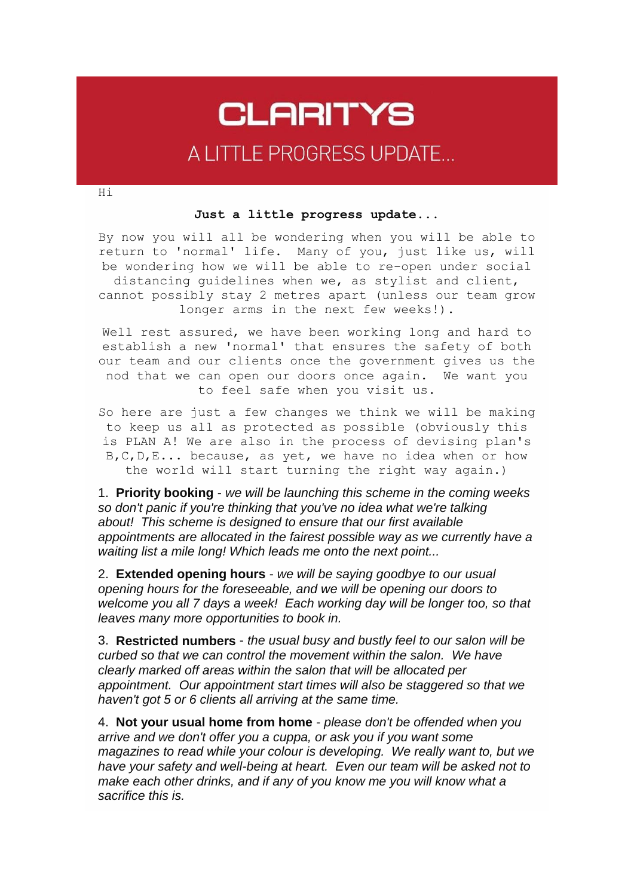## **CLARITYS** A LITTLE PROGRESS UPDATE...

Hi

## **Just a little progress update...**

By now you will all be wondering when you will be able to return to 'normal' life. Many of you, just like us, will be wondering how we will be able to re-open under social distancing guidelines when we, as stylist and client, cannot possibly stay 2 metres apart (unless our team grow longer arms in the next few weeks!).

Well rest assured, we have been working long and hard to establish a new 'normal' that ensures the safety of both our team and our clients once the government gives us the nod that we can open our doors once again. We want you to feel safe when you visit us.

So here are just a few changes we think we will be making to keep us all as protected as possible (obviously this is PLAN A! We are also in the process of devising plan's B,C,D,E... because, as yet, we have no idea when or how the world will start turning the right way again.)

1. **Priority booking** - *we will be launching this scheme in the coming weeks so don't panic if you're thinking that you've no idea what we're talking about! This scheme is designed to ensure that our first available appointments are allocated in the fairest possible way as we currently have a waiting list a mile long! Which leads me onto the next point...*

2. **Extended opening hours** - *we will be saying goodbye to our usual opening hours for the foreseeable, and we will be opening our doors to welcome you all 7 days a week! Each working day will be longer too, so that leaves many more opportunities to book in.*

3. **Restricted numbers** - *the usual busy and bustly feel to our salon will be curbed so that we can control the movement within the salon. We have clearly marked off areas within the salon that will be allocated per appointment. Our appointment start times will also be staggered so that we haven't got 5 or 6 clients all arriving at the same time.*

4. **Not your usual home from home** - *please don't be offended when you arrive and we don't offer you a cuppa, or ask you if you want some magazines to read while your colour is developing. We really want to, but we have your safety and well-being at heart. Even our team will be asked not to make each other drinks, and if any of you know me you will know what a sacrifice this is.*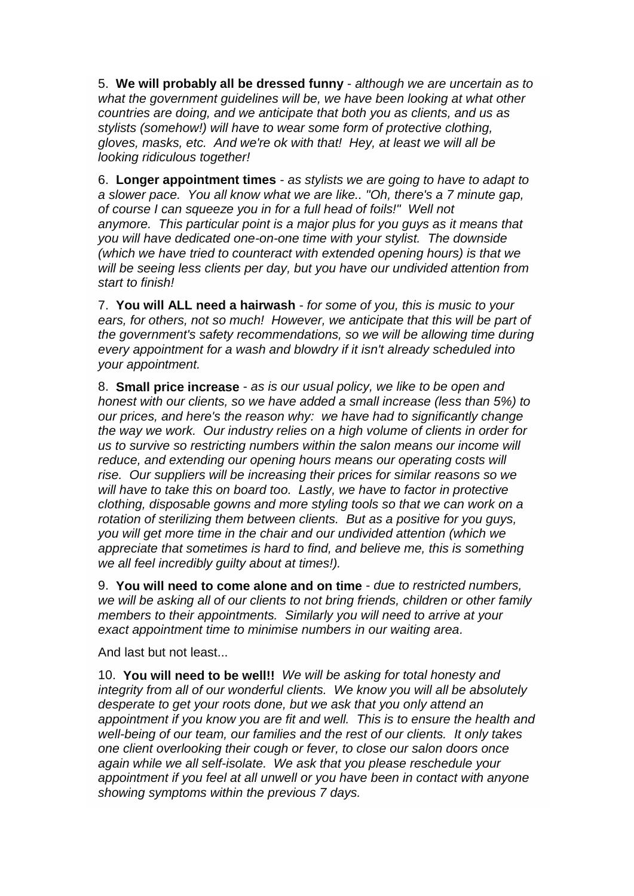5. **We will probably all be dressed funny** - *although we are uncertain as to what the government guidelines will be, we have been looking at what other countries are doing, and we anticipate that both you as clients, and us as stylists (somehow!) will have to wear some form of protective clothing, gloves, masks, etc. And we're ok with that! Hey, at least we will all be looking ridiculous together!*

6. **Longer appointment times** - *as stylists we are going to have to adapt to a slower pace. You all know what we are like.. "Oh, there's a 7 minute gap, of course I can squeeze you in for a full head of foils!" Well not anymore. This particular point is a major plus for you guys as it means that you will have dedicated one-on-one time with your stylist. The downside (which we have tried to counteract with extended opening hours) is that we will be seeing less clients per day, but you have our undivided attention from start to finish!*

7. **You will ALL need a hairwash** - *for some of you, this is music to your ears, for others, not so much! However, we anticipate that this will be part of the government's safety recommendations, so we will be allowing time during every appointment for a wash and blowdry if it isn't already scheduled into your appointment.*

8. **Small price increase** - *as is our usual policy, we like to be open and honest with our clients, so we have added a small increase (less than 5%) to our prices, and here's the reason why: we have had to significantly change the way we work. Our industry relies on a high volume of clients in order for us to survive so restricting numbers within the salon means our income will reduce, and extending our opening hours means our operating costs will rise. Our suppliers will be increasing their prices for similar reasons so we will have to take this on board too. Lastly, we have to factor in protective clothing, disposable gowns and more styling tools so that we can work on a rotation of sterilizing them between clients. But as a positive for you guys, you will get more time in the chair and our undivided attention (which we appreciate that sometimes is hard to find, and believe me, this is something we all feel incredibly guilty about at times!).*

9. **You will need to come alone and on time** - *due to restricted numbers, we will be asking all of our clients to not bring friends, children or other family members to their appointments. Similarly you will need to arrive at your exact appointment time to minimise numbers in our waiting area.*

And last but not least...

10. **You will need to be well!!** *We will be asking for total honesty and integrity from all of our wonderful clients. We know you will all be absolutely desperate to get your roots done, but we ask that you only attend an appointment if you know you are fit and well. This is to ensure the health and well-being of our team, our families and the rest of our clients. It only takes one client overlooking their cough or fever, to close our salon doors once again while we all self-isolate. We ask that you please reschedule your appointment if you feel at all unwell or you have been in contact with anyone showing symptoms within the previous 7 days.*